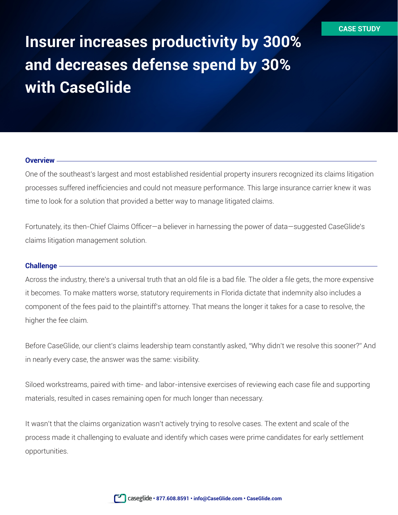# **Insurer increases productivity by 300% and decreases defense spend by 30% with CaseGlide**

### **Overview**

One of the southeast's largest and most established residential property insurers recognized its claims litigation processes suffered inefficiencies and could not measure performance. This large insurance carrier knew it was time to look for a solution that provided a better way to manage litigated claims.

Fortunately, its then-Chief Claims Officer—a believer in harnessing the power of data—suggested CaseGlide's claims litigation management solution.

#### **Challenge**

Across the industry, there's a universal truth that an old file is a bad file. The older a file gets, the more expensive it becomes. To make matters worse, statutory requirements in Florida dictate that indemnity also includes a component of the fees paid to the plaintiff's attorney. That means the longer it takes for a case to resolve, the higher the fee claim.

Before CaseGlide, our client's claims leadership team constantly asked, "Why didn't we resolve this sooner?" And in nearly every case, the answer was the same: visibility.

Siloed workstreams, paired with time- and labor-intensive exercises of reviewing each case file and supporting materials, resulted in cases remaining open for much longer than necessary.

It wasn't that the claims organization wasn't actively trying to resolve cases. The extent and scale of the process made it challenging to evaluate and identify which cases were prime candidates for early settlement opportunities.

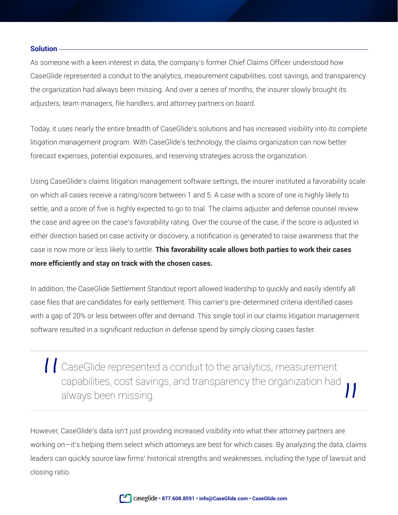# **Solution**

As someone with a keen interest in data, the company's former Chief Claims Officer understood how CaseGlide represented a conduit to the analytics, measurement capabilities, cost savings, and transparency the organization had always been missing. And over a series of months, the insurer slowly brought its adjusters, team managers, file handlers, and attorney partners on board.

Today, it uses nearly the entire breadth of CaseGlide's solutions and has increased visibility into its complete litigation management program. With CaseGlide's technology, the claims organization can now better forecast expenses, potential exposures, and reserving strategies across the organization.

Using CaseGlide's claims litigation management software settings, the insurer instituted a favorability scale on which all cases receive a rating/score between 1 and 5. A case with a score of one is highly likely to settle, and a score of five is highly expected to go to trial. The claims adjuster and defense counsel review the case and agree on the case's favorability rating. Over the course of the case, if the score is adjusted in either direction based on case activity or discovery, a notification is generated to raise awareness that the case is now more or less likely to settle. **This favorability scale allows both parties to work their cases more efficiently and stay on track with the chosen cases.**

In addition, the CaseGlide Settlement Standout report allowed leadership to quickly and easily identify all case files that are candidates for early settlement. This carrier's pre-determined criteria identified cases with a gap of 20% or less between offer and demand. This single tool in our claims litigation management software resulted in a significant reduction in defense spend by simply closing cases faster.

| | CaseGlide represented a conduit to the analytics, measurement capabilities, cost savings, and transparency the organization had always been missing.

However, CaseGlide's data isn't just providing increased visibility into what their attorney partners are working on—it's helping them select which attorneys are best for which cases. By analyzing the data, claims leaders can quickly source law firms' historical strengths and weaknesses, including the type of lawsuit and closing ratio.